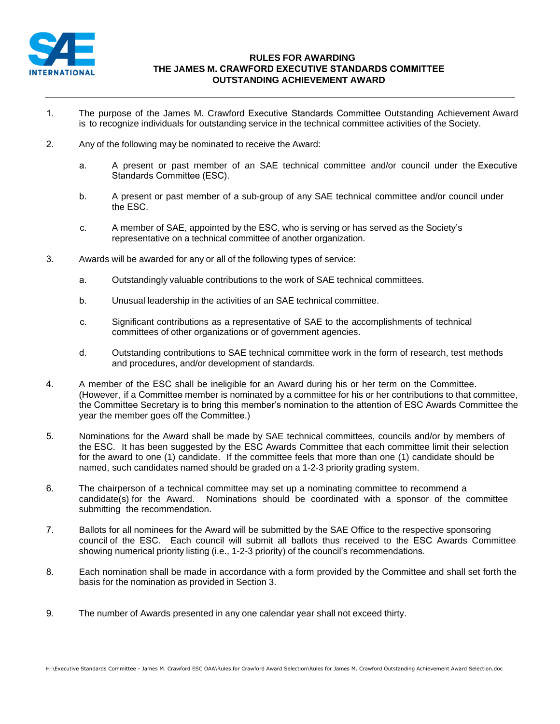

## **RULES FOR AWARDING THE JAMES M. CRAWFORD EXECUTIVE STANDARDS COMMITTEE OUTSTANDING ACHIEVEMENT AWARD**

- 1. The purpose of the James M. Crawford Executive Standards Committee Outstanding Achievement Award is to recognize individuals for outstanding service in the technical committee activities of the Society.
- 2. Any of the following may be nominated to receive the Award:
	- a. A present or past member of an SAE technical committee and/or council under the Executive Standards Committee (ESC).
	- b. A present or past member of a sub-group of any SAE technical committee and/or council under the ESC.
	- c. A member of SAE, appointed by the ESC, who is serving or has served as the Society's representative on a technical committee of another organization.
- 3. Awards will be awarded for any or all of the following types of service:
	- a. Outstandingly valuable contributions to the work of SAE technical committees.
	- b. Unusual leadership in the activities of an SAE technical committee.
	- c. Significant contributions as a representative of SAE to the accomplishments of technical committees of other organizations or of government agencies.
	- d. Outstanding contributions to SAE technical committee work in the form of research, test methods and procedures, and/or development of standards.
- 4. A member of the ESC shall be ineligible for an Award during his or her term on the Committee. (However, if a Committee member is nominated by a committee for his or her contributions to that committee, the Committee Secretary is to bring this member's nomination to the attention of ESC Awards Committee the year the member goes off the Committee.)
- 5. Nominations for the Award shall be made by SAE technical committees, councils and/or by members of the ESC. It has been suggested by the ESC Awards Committee that each committee limit their selection for the award to one (1) candidate. If the committee feels that more than one (1) candidate should be named, such candidates named should be graded on a 1-2-3 priority grading system.
- 6. The chairperson of a technical committee may set up a nominating committee to recommend a candidate(s) for the Award. Nominations should be coordinated with a sponsor of the committee submitting the recommendation.
- 7. Ballots for all nominees for the Award will be submitted by the SAE Office to the respective sponsoring council of the ESC. Each council will submit all ballots thus received to the ESC Awards Committee showing numerical priority listing (i.e., 1-2-3 priority) of the council's recommendations.
- 8. Each nomination shall be made in accordance with a form provided by the Committee and shall set forth the basis for the nomination as provided in Section 3.
- 9. The number of Awards presented in any one calendar year shall not exceed thirty.